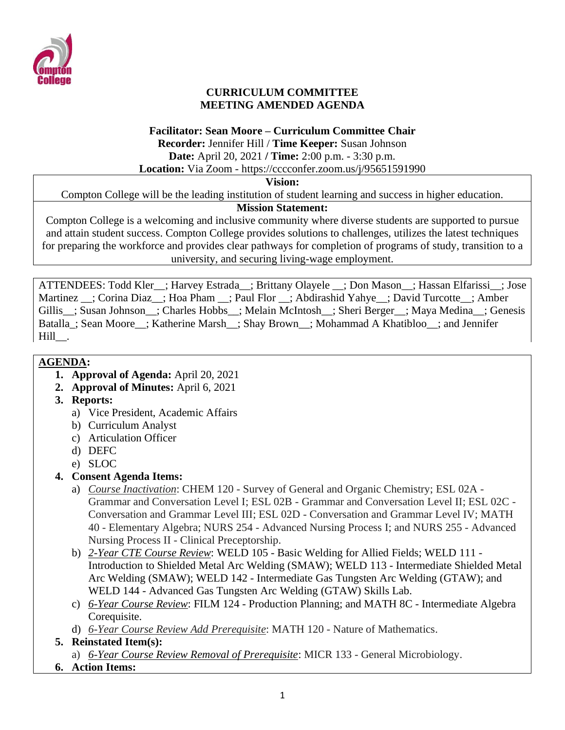

## **CURRICULUM COMMITTEE MEETING AMENDED AGENDA**

#### **Facilitator: Sean Moore – Curriculum Committee Chair**

**Recorder:** Jennifer Hill / **Time Keeper:** Susan Johnson

**Date:** April 20, 2021 **/ Time:** 2:00 p.m. - 3:30 p.m.

**Location:** Via Zoom - https://cccconfer.zoom.us/j/95651591990

#### **Vision:**

Compton College will be the leading institution of student learning and success in higher education.

## **Mission Statement:**

Compton College is a welcoming and inclusive community where diverse students are supported to pursue and attain student success. Compton College provides solutions to challenges, utilizes the latest techniques for preparing the workforce and provides clear pathways for completion of programs of study, transition to a university, and securing living-wage employment.

ATTENDEES: Todd Kler ; Harvey Estrada ; Brittany Olayele ; Don Mason ; Hassan Elfarissi ; Jose Martinez \_\_; Corina Diaz\_\_; Hoa Pham \_\_; Paul Flor \_\_; Abdirashid Yahye\_\_; David Turcotte\_\_; Amber Gillis\_; Susan Johnson\_; Charles Hobbs\_; Melain McIntosh\_; Sheri Berger\_; Maya Medina\_; Genesis Batalla\_; Sean Moore\_\_; Katherine Marsh\_\_; Shay Brown\_\_; Mohammad A Khatibloo\_\_; and Jennifer Hill<sub>.</sub>

## **AGENDA:**

- **1. Approval of Agenda:** April 20, 2021
- **2. Approval of Minutes:** April 6, 2021
- **3. Reports:** 
	- a) Vice President, Academic Affairs
	- b) Curriculum Analyst
	- c) Articulation Officer
	- d) DEFC
	- e) SLOC
- **4. Consent Agenda Items:** 
	- a) *Course Inactivation*: CHEM 120 Survey of General and Organic Chemistry; ESL 02A Grammar and Conversation Level I; ESL 02B - Grammar and Conversation Level II; ESL 02C - Conversation and Grammar Level III; ESL 02D - Conversation and Grammar Level IV; MATH 40 - Elementary Algebra; NURS 254 - Advanced Nursing Process I; and NURS 255 - Advanced Nursing Process II - Clinical Preceptorship.
	- b) *2-Year CTE Course Review*: WELD 105 Basic Welding for Allied Fields; WELD 111 Introduction to Shielded Metal Arc Welding (SMAW); WELD 113 - Intermediate Shielded Metal Arc Welding (SMAW); WELD 142 - Intermediate Gas Tungsten Arc Welding (GTAW); and WELD 144 - Advanced Gas Tungsten Arc Welding (GTAW) Skills Lab.
	- c) *6-Year Course Review*: FILM 124 Production Planning; and MATH 8C Intermediate Algebra Corequisite.
	- d) *6-Year Course Review Add Prerequisite*: MATH 120 Nature of Mathematics.
- **5. Reinstated Item(s):** 
	- a) *6-Year Course Review Removal of Prerequisite*: MICR 133 General Microbiology.
- **6. Action Items:**